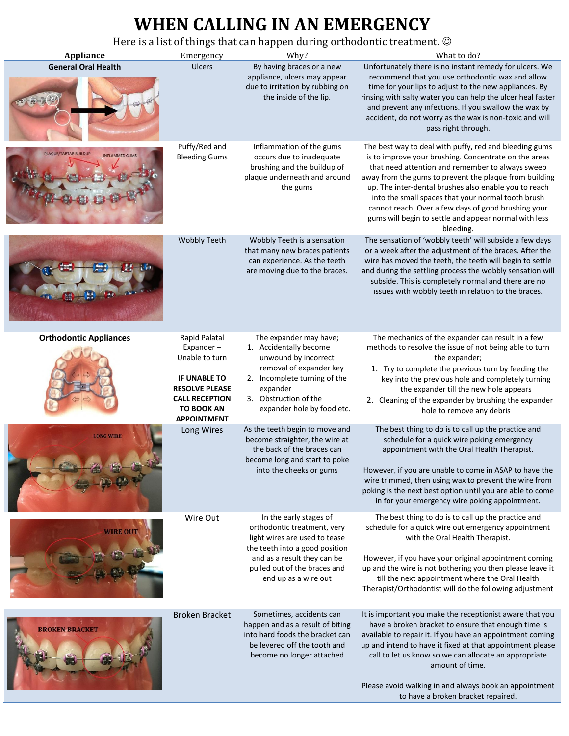## **WHEN CALLING IN AN EMERGENCY**

Here is a list of things that can happen during orthodontic treatment.

| <b>Appliance</b>                              | Emergency                                                                                                                                                        | There is a fist of things that can happen during orthodomuc treatment. $\otimes$<br>Why?                                                                                                                        | What to do?                                                                                                                                                                                                                                                                                                                                                                                                                                                               |
|-----------------------------------------------|------------------------------------------------------------------------------------------------------------------------------------------------------------------|-----------------------------------------------------------------------------------------------------------------------------------------------------------------------------------------------------------------|---------------------------------------------------------------------------------------------------------------------------------------------------------------------------------------------------------------------------------------------------------------------------------------------------------------------------------------------------------------------------------------------------------------------------------------------------------------------------|
| <b>General Oral Health</b>                    | Ulcers                                                                                                                                                           | By having braces or a new<br>appliance, ulcers may appear<br>due to irritation by rubbing on<br>the inside of the lip.                                                                                          | Unfortunately there is no instant remedy for ulcers. We<br>recommend that you use orthodontic wax and allow<br>time for your lips to adjust to the new appliances. By<br>rinsing with salty water you can help the ulcer heal faster<br>and prevent any infections. If you swallow the wax by<br>accident, do not worry as the wax is non-toxic and will<br>pass right through.                                                                                           |
| LAQUE/TARTAR BUILDUP<br><b>INFLAMMED GUMS</b> | Puffy/Red and<br><b>Bleeding Gums</b>                                                                                                                            | Inflammation of the gums<br>occurs due to inadequate<br>brushing and the buildup of<br>plaque underneath and around<br>the gums                                                                                 | The best way to deal with puffy, red and bleeding gums<br>is to improve your brushing. Concentrate on the areas<br>that need attention and remember to always sweep<br>away from the gums to prevent the plaque from building<br>up. The inter-dental brushes also enable you to reach<br>into the small spaces that your normal tooth brush<br>cannot reach. Over a few days of good brushing your<br>gums will begin to settle and appear normal with less<br>bleeding. |
|                                               | <b>Wobbly Teeth</b>                                                                                                                                              | Wobbly Teeth is a sensation<br>that many new braces patients<br>can experience. As the teeth<br>are moving due to the braces.                                                                                   | The sensation of 'wobbly teeth' will subside a few days<br>or a week after the adjustment of the braces. After the<br>wire has moved the teeth, the teeth will begin to settle<br>and during the settling process the wobbly sensation will<br>subside. This is completely normal and there are no<br>issues with wobbly teeth in relation to the braces.                                                                                                                 |
| <b>Orthodontic Appliances</b>                 | Rapid Palatal<br>Expander-<br>Unable to turn<br><b>IF UNABLE TO</b><br><b>RESOLVE PLEASE</b><br><b>CALL RECEPTION</b><br><b>TO BOOK AN</b><br><b>APPOINTMENT</b> | The expander may have;<br>1. Accidentally become<br>unwound by incorrect<br>removal of expander key<br>2. Incomplete turning of the<br>expander<br>3. Obstruction of the<br>expander hole by food etc.          | The mechanics of the expander can result in a few<br>methods to resolve the issue of not being able to turn<br>the expander;<br>1. Try to complete the previous turn by feeding the<br>key into the previous hole and completely turning<br>the expander till the new hole appears<br>2. Cleaning of the expander by brushing the expander<br>hole to remove any debris                                                                                                   |
| <b>LONG WIRE</b>                              | Long Wires                                                                                                                                                       | As the teeth begin to move and<br>become straighter, the wire at<br>the back of the braces can<br>become long and start to poke<br>into the cheeks or gums                                                      | The best thing to do is to call up the practice and<br>schedule for a quick wire poking emergency<br>appointment with the Oral Health Therapist.<br>However, if you are unable to come in ASAP to have the<br>wire trimmed, then using wax to prevent the wire from<br>poking is the next best option until you are able to come<br>in for your emergency wire poking appointment.                                                                                        |
|                                               | Wire Out                                                                                                                                                         | In the early stages of<br>orthodontic treatment, very<br>light wires are used to tease<br>the teeth into a good position<br>and as a result they can be<br>pulled out of the braces and<br>end up as a wire out | The best thing to do is to call up the practice and<br>schedule for a quick wire out emergency appointment<br>with the Oral Health Therapist.<br>However, if you have your original appointment coming<br>up and the wire is not bothering you then please leave it<br>till the next appointment where the Oral Health<br>Therapist/Orthodontist will do the following adjustment                                                                                         |
| <b>BROKEN BRACKET</b>                         | <b>Broken Bracket</b>                                                                                                                                            | Sometimes, accidents can<br>happen and as a result of biting<br>into hard foods the bracket can<br>be levered off the tooth and<br>become no longer attached                                                    | It is important you make the receptionist aware that you<br>have a broken bracket to ensure that enough time is<br>available to repair it. If you have an appointment coming<br>up and intend to have it fixed at that appointment please<br>call to let us know so we can allocate an appropriate<br>amount of time.<br>Please avoid walking in and always book an appointment<br>to have a broken bracket repaired.                                                     |